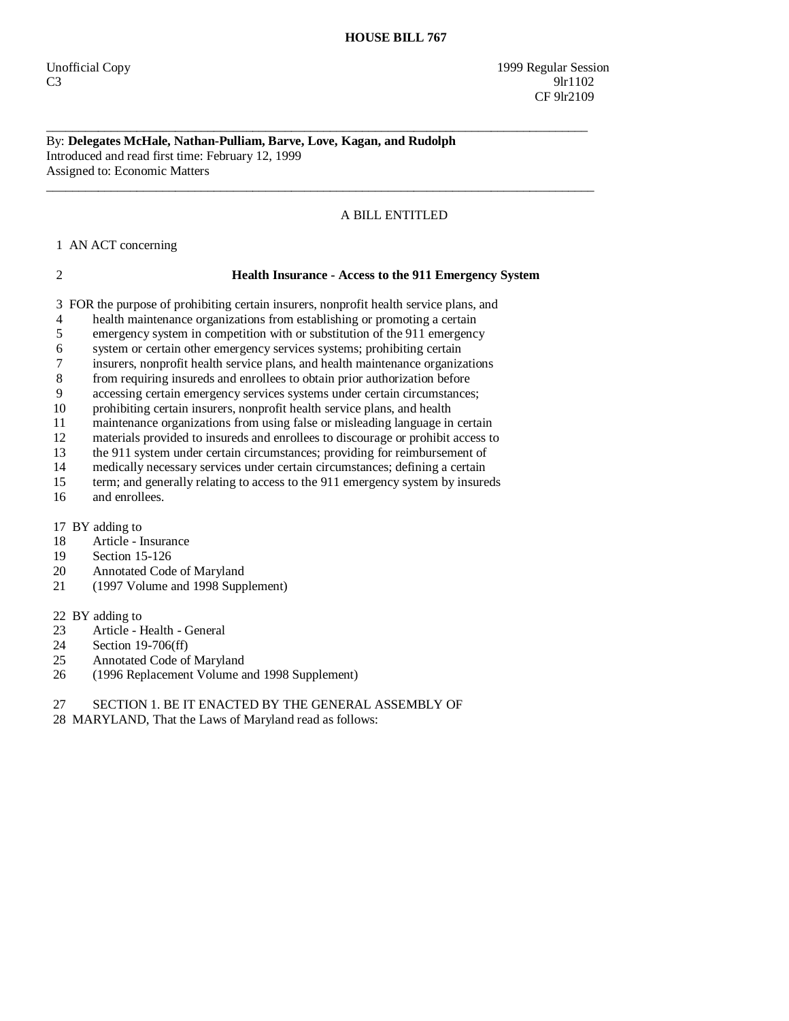#### By: **Delegates McHale, Nathan-Pulliam, Barve, Love, Kagan, and Rudolph**  Introduced and read first time: February 12, 1999 Assigned to: Economic Matters

\_\_\_\_\_\_\_\_\_\_\_\_\_\_\_\_\_\_\_\_\_\_\_\_\_\_\_\_\_\_\_\_\_\_\_\_\_\_\_\_\_\_\_\_\_\_\_\_\_\_\_\_\_\_\_\_\_\_\_\_\_\_\_\_\_\_\_\_\_\_\_\_\_\_\_\_\_\_\_\_\_\_\_\_

 $\overline{\phantom{a}}$  ,  $\overline{\phantom{a}}$  ,  $\overline{\phantom{a}}$  ,  $\overline{\phantom{a}}$  ,  $\overline{\phantom{a}}$  ,  $\overline{\phantom{a}}$  ,  $\overline{\phantom{a}}$  ,  $\overline{\phantom{a}}$  ,  $\overline{\phantom{a}}$  ,  $\overline{\phantom{a}}$  ,  $\overline{\phantom{a}}$  ,  $\overline{\phantom{a}}$  ,  $\overline{\phantom{a}}$  ,  $\overline{\phantom{a}}$  ,  $\overline{\phantom{a}}$  ,  $\overline{\phantom{a}}$ 

# A BILL ENTITLED

1 AN ACT concerning

### 2 **Health Insurance - Access to the 911 Emergency System**

3 FOR the purpose of prohibiting certain insurers, nonprofit health service plans, and

- 4 health maintenance organizations from establishing or promoting a certain
- 5 emergency system in competition with or substitution of the 911 emergency
- 6 system or certain other emergency services systems; prohibiting certain
- 7 insurers, nonprofit health service plans, and health maintenance organizations
- 8 from requiring insureds and enrollees to obtain prior authorization before
- 9 accessing certain emergency services systems under certain circumstances;
- 10 prohibiting certain insurers, nonprofit health service plans, and health
- 11 maintenance organizations from using false or misleading language in certain<br>12 materials provided to insureds and enrollees to discourage or prohibit access to
- materials provided to insureds and enrollees to discourage or prohibit access to
- 13 the 911 system under certain circumstances; providing for reimbursement of
- 14 medically necessary services under certain circumstances; defining a certain term; and generally relating to access to the 911 emergency system by insure
- term; and generally relating to access to the 911 emergency system by insureds
- 16 and enrollees.

17 BY adding to

- 18 Article Insurance
- 19 Section 15-126
- 20 Annotated Code of Maryland
- 21 (1997 Volume and 1998 Supplement)
- 22 BY adding to<br>23 Article I
- Article Health General
- 24 Section 19-706(ff)<br>25 Annotated Code of
- Annotated Code of Maryland
- 26 (1996 Replacement Volume and 1998 Supplement)
- 27 SECTION 1. BE IT ENACTED BY THE GENERAL ASSEMBLY OF
- 28 MARYLAND, That the Laws of Maryland read as follows: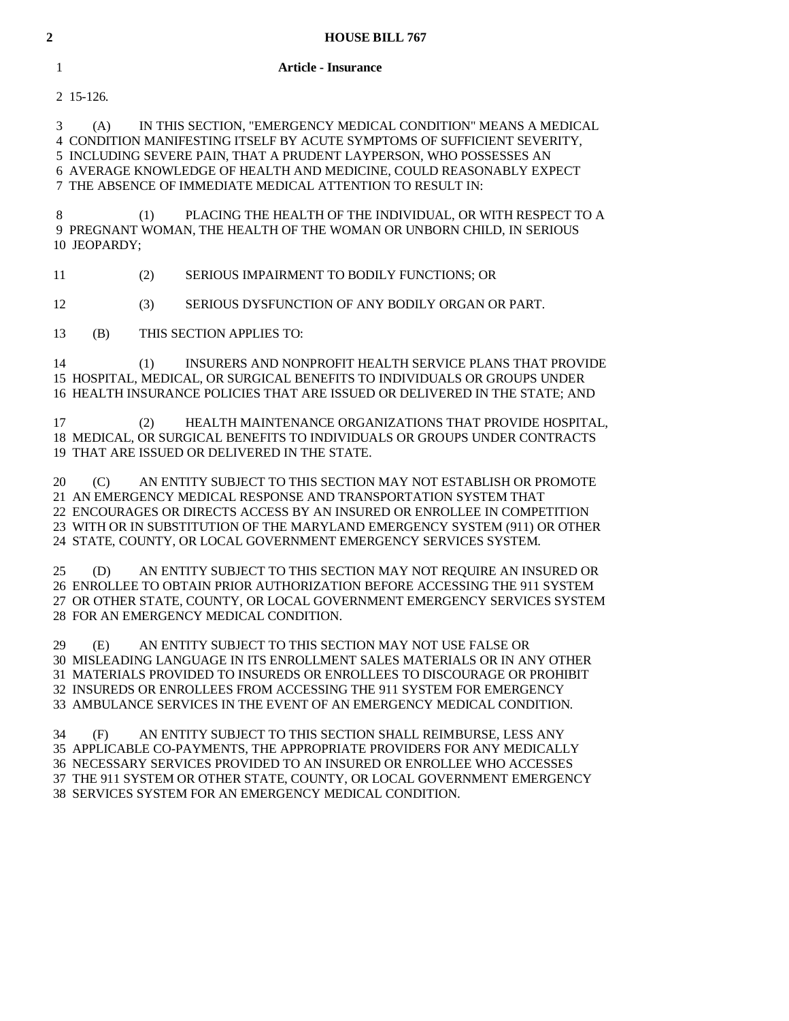#### 1 **Article - Insurance**

2 15-126.

 3 (A) IN THIS SECTION, "EMERGENCY MEDICAL CONDITION" MEANS A MEDICAL 4 CONDITION MANIFESTING ITSELF BY ACUTE SYMPTOMS OF SUFFICIENT SEVERITY, 5 INCLUDING SEVERE PAIN, THAT A PRUDENT LAYPERSON, WHO POSSESSES AN 6 AVERAGE KNOWLEDGE OF HEALTH AND MEDICINE, COULD REASONABLY EXPECT 7 THE ABSENCE OF IMMEDIATE MEDICAL ATTENTION TO RESULT IN:

 8 (1) PLACING THE HEALTH OF THE INDIVIDUAL, OR WITH RESPECT TO A 9 PREGNANT WOMAN, THE HEALTH OF THE WOMAN OR UNBORN CHILD, IN SERIOUS 10 JEOPARDY;

11 (2) SERIOUS IMPAIRMENT TO BODILY FUNCTIONS; OR

12 (3) SERIOUS DYSFUNCTION OF ANY BODILY ORGAN OR PART.

13 (B) THIS SECTION APPLIES TO:

 14 (1) INSURERS AND NONPROFIT HEALTH SERVICE PLANS THAT PROVIDE 15 HOSPITAL, MEDICAL, OR SURGICAL BENEFITS TO INDIVIDUALS OR GROUPS UNDER 16 HEALTH INSURANCE POLICIES THAT ARE ISSUED OR DELIVERED IN THE STATE; AND

 17 (2) HEALTH MAINTENANCE ORGANIZATIONS THAT PROVIDE HOSPITAL, 18 MEDICAL, OR SURGICAL BENEFITS TO INDIVIDUALS OR GROUPS UNDER CONTRACTS 19 THAT ARE ISSUED OR DELIVERED IN THE STATE.

 20 (C) AN ENTITY SUBJECT TO THIS SECTION MAY NOT ESTABLISH OR PROMOTE 21 AN EMERGENCY MEDICAL RESPONSE AND TRANSPORTATION SYSTEM THAT 22 ENCOURAGES OR DIRECTS ACCESS BY AN INSURED OR ENROLLEE IN COMPETITION 23 WITH OR IN SUBSTITUTION OF THE MARYLAND EMERGENCY SYSTEM (911) OR OTHER 24 STATE, COUNTY, OR LOCAL GOVERNMENT EMERGENCY SERVICES SYSTEM.

 25 (D) AN ENTITY SUBJECT TO THIS SECTION MAY NOT REQUIRE AN INSURED OR 26 ENROLLEE TO OBTAIN PRIOR AUTHORIZATION BEFORE ACCESSING THE 911 SYSTEM 27 OR OTHER STATE, COUNTY, OR LOCAL GOVERNMENT EMERGENCY SERVICES SYSTEM 28 FOR AN EMERGENCY MEDICAL CONDITION.

 29 (E) AN ENTITY SUBJECT TO THIS SECTION MAY NOT USE FALSE OR 30 MISLEADING LANGUAGE IN ITS ENROLLMENT SALES MATERIALS OR IN ANY OTHER 31 MATERIALS PROVIDED TO INSUREDS OR ENROLLEES TO DISCOURAGE OR PROHIBIT 32 INSUREDS OR ENROLLEES FROM ACCESSING THE 911 SYSTEM FOR EMERGENCY 33 AMBULANCE SERVICES IN THE EVENT OF AN EMERGENCY MEDICAL CONDITION.

 34 (F) AN ENTITY SUBJECT TO THIS SECTION SHALL REIMBURSE, LESS ANY 35 APPLICABLE CO-PAYMENTS, THE APPROPRIATE PROVIDERS FOR ANY MEDICALLY 36 NECESSARY SERVICES PROVIDED TO AN INSURED OR ENROLLEE WHO ACCESSES 37 THE 911 SYSTEM OR OTHER STATE, COUNTY, OR LOCAL GOVERNMENT EMERGENCY 38 SERVICES SYSTEM FOR AN EMERGENCY MEDICAL CONDITION.